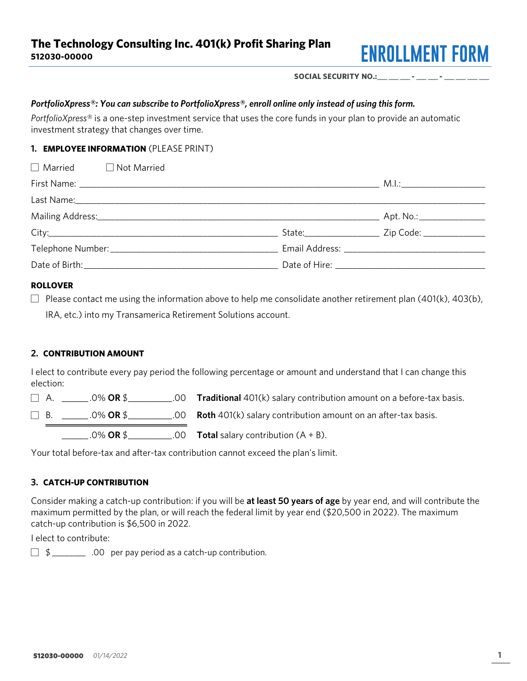

SOCIAL SECURITY NO.:\_\_\_ \_\_\_ - \_\_\_ - \_\_\_ - \_\_

## PortfolioXpress®: You can subscribe to PortfolioXpress®, enroll online only instead of using this form.

PortfolioXpress® is a one-step investment service that uses the core funds in your plan to provide an automatic investment strategy that changes over time.

# 1. **EMPLOYEE INFORMATION** (PLEASE PRINT)

| $\Box$ Married $\Box$ Not Married |  |
|-----------------------------------|--|
|                                   |  |
|                                   |  |
|                                   |  |
|                                   |  |
|                                   |  |
|                                   |  |

#### ROLLOVER

Please contact me using the information above to help me consolidate another retirement plan (401(k), 403(b), IRA, etc.) into my Transamerica Retirement Solutions account.

#### 2. CONTRIBUTION AMOUNT

I elect to contribute every pay period the following percentage or amount and understand that I can change this election:

 $\Box$  A. \_\_\_\_\_\_\_.0% OR \$\_\_\_\_\_\_\_\_\_\_.00 Traditional 401(k) salary contribution amount on a before-tax basis.

B.  $\Box$  B.  $\Box$  .0% OR \$ $\Box$  .00 Roth 401(k) salary contribution amount on an after-tax basis.

 $-0\%$  OR \$\_\_\_\_\_\_\_\_\_\_\_.00 Total salary contribution  $(A + B)$ .

Your total before-tax and after-tax contribution cannot exceed the plan's limit.

# 3. CATCH-UP CONTRIBUTION

Consider making a catch-up contribution: if you will be at least 50 years of age by year end, and will contribute the maximum permitted by the plan, or will reach the federal limit by year end (\$20,500 in 2022). The maximum catch-up contribution is \$6,500 in 2022.

I elect to contribute:

 $\Box$  \$ \_\_\_\_\_\_\_\_\_\_ .00 per pay period as a catch-up contribution.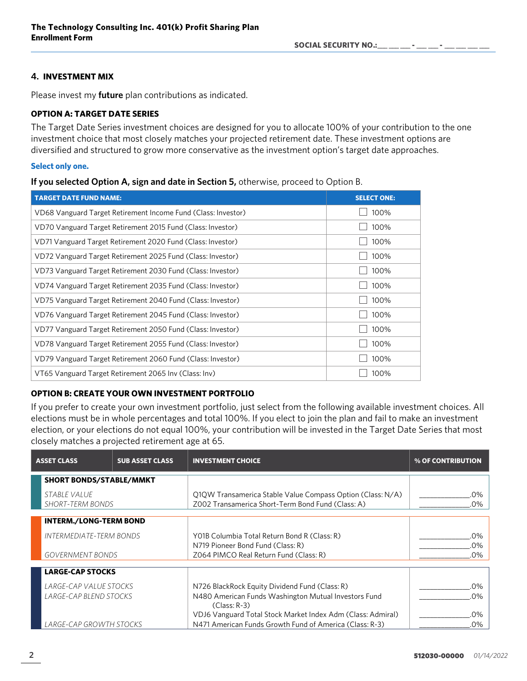SOCIAL SECURITY NO.:

# 4. INVESTMENT MIX

Please invest my **future** plan contributions as indicated.

# OPTION A: TARGET DATE SERIES

The Target Date Series investment choices are designed for you to allocate 100% of your contribution to the one investment choice that most closely matches your projected retirement date. These investment options are diversified and structured to grow more conservative as the investment option's target date approaches.

### Select only one.

| If you selected Option A, sign and date in Section 5, otherwise, proceed to Option B. |  |  |  |
|---------------------------------------------------------------------------------------|--|--|--|
|                                                                                       |  |  |  |

| <b>TARGET DATE FUND NAME:</b>                                 | <b>SELECT ONE:</b> |
|---------------------------------------------------------------|--------------------|
| VD68 Vanguard Target Retirement Income Fund (Class: Investor) | 100%               |
| VD70 Vanguard Target Retirement 2015 Fund (Class: Investor)   | 100%               |
| VD71 Vanguard Target Retirement 2020 Fund (Class: Investor)   | 100%               |
| VD72 Vanguard Target Retirement 2025 Fund (Class: Investor)   | 100%               |
| VD73 Vanguard Target Retirement 2030 Fund (Class: Investor)   | 100%               |
| VD74 Vanguard Target Retirement 2035 Fund (Class: Investor)   | 100%               |
| VD75 Vanguard Target Retirement 2040 Fund (Class: Investor)   | 100%               |
| VD76 Vanguard Target Retirement 2045 Fund (Class: Investor)   | 100%               |
| VD77 Vanguard Target Retirement 2050 Fund (Class: Investor)   | 100%               |
| VD78 Vanguard Target Retirement 2055 Fund (Class: Investor)   | 100%               |
| VD79 Vanguard Target Retirement 2060 Fund (Class: Investor)   | 100%               |
| VT65 Vanguard Target Retirement 2065 Inv (Class: Inv)         | 100%               |

# OPTION B: CREATE YOUR OWN INVESTMENT PORTFOLIO

If you prefer to create your own investment portfolio, just select from the following available investment choices. All elections must be in whole percentages and total 100%. If you elect to join the plan and fail to make an investment election, or your elections do not equal 100%, your contribution will be invested in the Target Date Series that most closely matches a projected retirement age at 65.

| <b>ASSET CLASS</b>                      | <b>SUB ASSET CLASS</b> | <b>INVESTMENT CHOICE</b>                                                                                        | % OF CONTRIBUTION |
|-----------------------------------------|------------------------|-----------------------------------------------------------------------------------------------------------------|-------------------|
| <b>SHORT BONDS/STABLE/MMKT</b>          |                        |                                                                                                                 |                   |
| STABLE VALUE<br><b>SHORT-TERM BONDS</b> |                        | Q1QW Transamerica Stable Value Compass Option (Class: N/A)<br>Z002 Transamerica Short-Term Bond Fund (Class: A) | .በ%<br>.0%        |
| <b>INTERM./LONG-TERM BOND</b>           |                        |                                                                                                                 |                   |
| INTERMEDIATE-TERM BONDS                 |                        | Y01B Columbia Total Return Bond R (Class: R)                                                                    | .0%               |
|                                         |                        | N719 Pioneer Bond Fund (Class: R)                                                                               | .0%               |
| <b>GOVERNMENT BONDS</b>                 |                        | Z064 PIMCO Real Return Fund (Class: R)                                                                          | .0%               |
| <b>LARGE-CAP STOCKS</b>                 |                        |                                                                                                                 |                   |
| LARGE-CAP VALUE STOCKS                  |                        | N726 BlackRock Equity Dividend Fund (Class: R)                                                                  | በ%                |
| LARGE-CAP BLEND STOCKS                  |                        | N480 American Funds Washington Mutual Investors Fund<br>$(Class: R-3)$                                          | .በ%               |
|                                         |                        | VDJ6 Vanguard Total Stock Market Index Adm (Class: Admiral)                                                     | .0%               |
| LARGE-CAP GROWTH STOCKS                 |                        | N471 American Funds Growth Fund of America (Class: R-3)                                                         | .0%               |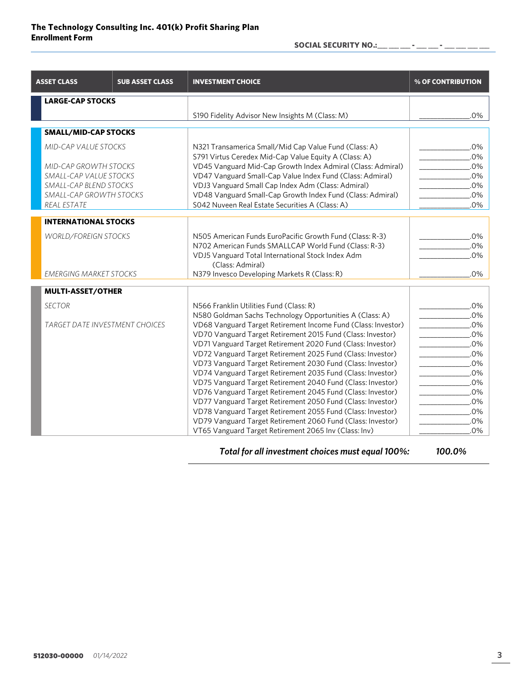SOCIAL SECURITY NO.: \_\_\_ \_\_\_ \_\_ - \_\_\_ - \_\_

| <b>ASSET CLASS</b>            | <b>SUB ASSET CLASS</b>                | <b>INVESTMENT CHOICE</b>                                              | % OF CONTRIBUTION |
|-------------------------------|---------------------------------------|-----------------------------------------------------------------------|-------------------|
| <b>LARGE-CAP STOCKS</b>       |                                       |                                                                       |                   |
|                               |                                       | S190 Fidelity Advisor New Insights M (Class: M)                       | .0%               |
| <b>SMALL/MID-CAP STOCKS</b>   |                                       |                                                                       |                   |
| <b>MID-CAP VALUE STOCKS</b>   |                                       | N321 Transamerica Small/Mid Cap Value Fund (Class: A)                 | .0%               |
|                               |                                       | S791 Virtus Ceredex Mid-Cap Value Equity A (Class: A)                 | .0%               |
| <b>MID-CAP GROWTH STOCKS</b>  |                                       | VD45 Vanguard Mid-Cap Growth Index Admiral (Class: Admiral)           | .0%               |
| SMALL-CAP VALUE STOCKS        |                                       | VD47 Vanguard Small-Cap Value Index Fund (Class: Admiral)             | .0%               |
| SMALL-CAP BLEND STOCKS        |                                       | VDJ3 Vanguard Small Cap Index Adm (Class: Admiral)                    | .0%               |
| SMALL-CAP GROWTH STOCKS       |                                       | VD48 Vanguard Small-Cap Growth Index Fund (Class: Admiral)            | .0%               |
| <b>REAL ESTATE</b>            |                                       | SO42 Nuveen Real Estate Securities A (Class: A)                       | .0%               |
| <b>INTERNATIONAL STOCKS</b>   |                                       |                                                                       |                   |
| <b>WORLD/FOREIGN STOCKS</b>   |                                       | N505 American Funds EuroPacific Growth Fund (Class: R-3)              | .0%               |
|                               |                                       | N702 American Funds SMALLCAP World Fund (Class: R-3)                  | .0%               |
|                               |                                       | VDJ5 Vanguard Total International Stock Index Adm<br>(Class: Admiral) | .0%               |
| <b>EMERGING MARKET STOCKS</b> |                                       | N379 Invesco Developing Markets R (Class: R)                          | .0%               |
| <b>MULTI-ASSET/OTHER</b>      |                                       |                                                                       |                   |
| <b>SECTOR</b>                 |                                       | N566 Franklin Utilities Fund (Class: R)                               | .0%               |
|                               |                                       | N580 Goldman Sachs Technology Opportunities A (Class: A)              | .0%               |
|                               | <b>TARGET DATE INVESTMENT CHOICES</b> | VD68 Vanguard Target Retirement Income Fund (Class: Investor)         | .0%               |
|                               |                                       | VD70 Vanguard Target Retirement 2015 Fund (Class: Investor)           | $.0\%$            |
|                               |                                       | VD71 Vanguard Target Retirement 2020 Fund (Class: Investor)           | .0%               |
|                               |                                       | VD72 Vanguard Target Retirement 2025 Fund (Class: Investor)           | .0%               |
|                               |                                       | VD73 Vanguard Target Retirement 2030 Fund (Class: Investor)           | .0%               |
|                               |                                       | VD74 Vanguard Target Retirement 2035 Fund (Class: Investor)           | $.0\%$            |
|                               |                                       | VD75 Vanguard Target Retirement 2040 Fund (Class: Investor)           | .0%               |
|                               |                                       | VD76 Vanguard Target Retirement 2045 Fund (Class: Investor)           | .0%               |
|                               |                                       | VD77 Vanguard Target Retirement 2050 Fund (Class: Investor)           | .0%               |
|                               |                                       | VD78 Vanguard Target Retirement 2055 Fund (Class: Investor)           | .0%               |
|                               |                                       | VD79 Vanguard Target Retirement 2060 Fund (Class: Investor)           | .0%               |
|                               |                                       | VT65 Vanguard Target Retirement 2065 Inv (Class: Inv)                 | $.0\%$            |

Total for all investment choices must equal 100%: 100.0%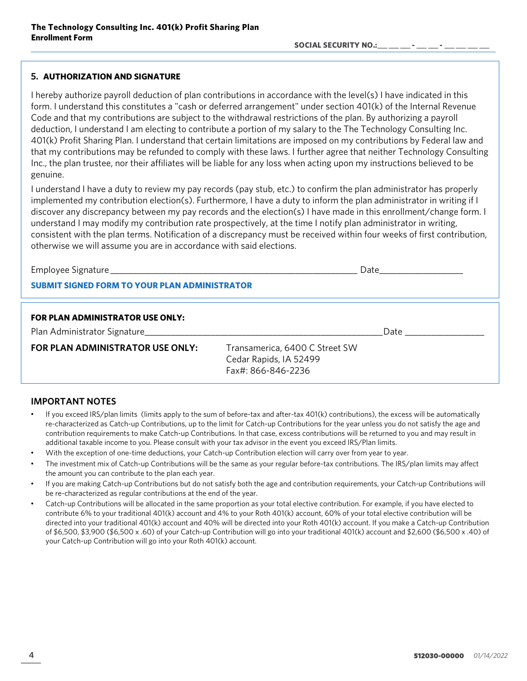### 5. AUTHORIZATION AND SIGNATURE

I hereby authorize payroll deduction of plan contributions in accordance with the level(s) I have indicated in this form. I understand this constitutes a "cash or deferred arrangement" under section 401(k) of the Internal Revenue Code and that my contributions are subject to the withdrawal restrictions of the plan. By authorizing a payroll deduction, I understand I am electing to contribute a portion of my salary to the The Technology Consulting Inc. 401(k) Profit Sharing Plan. I understand that certain limitations are imposed on my contributions by Federal law and that my contributions may be refunded to comply with these laws. I further agree that neither Technology Consulting Inc., the plan trustee, nor their affiliates will be liable for any loss when acting upon my instructions believed to be genuine.

I understand I have a duty to review my pay records (pay stub, etc.) to confirm the plan administrator has properly implemented my contribution election(s). Furthermore, I have a duty to inform the plan administrator in writing if I discover any discrepancy between my pay records and the election(s) I have made in this enrollment/change form. I understand I may modify my contribution rate prospectively, at the time I notify plan administrator in writing, consistent with the plan terms. Notification of a discrepancy must be received within four weeks of first contribution, otherwise we will assume you are in accordance with said elections.

|  | Employee Signature |  |
|--|--------------------|--|
|  |                    |  |

Employee Signature \_\_\_\_\_\_\_\_\_\_\_\_\_\_\_\_\_\_\_\_\_\_\_\_\_\_\_\_\_\_\_\_\_\_\_\_\_\_\_\_\_\_\_\_\_\_\_\_\_\_\_\_\_\_\_\_ Date\_\_\_\_\_\_\_\_\_\_\_\_\_\_\_\_\_\_\_

### SUBMIT SIGNED FORM TO YOUR PLAN ADMINISTRATOR

#### FOR PLAN ADMINISTRATOR USE ONLY:

Plan Administrator Signature et al. 2012 and 2013 and 2014 and 2014 and 2014 and 2014 and 2014 and 2014 and 20

FOR PLAN ADMINISTRATOR USE ONLY: Transamerica, 6400 C Street SW

Cedar Rapids, IA 52499 Fax#: 866-846-2236

#### IMPORTANT NOTES

- If you exceed IRS/plan limits (limits apply to the sum of before-tax and after-tax 401(k) contributions), the excess will be automatically re-characterized as Catch-up Contributions, up to the limit for Catch-up Contributions for the year unless you do not satisfy the age and contribution requirements to make Catch-up Contributions. In that case, excess contributions will be returned to you and may result in additional taxable income to you. Please consult with your tax advisor in the event you exceed IRS/Plan limits.
- With the exception of one-time deductions, your Catch-up Contribution election will carry over from year to year.
- The investment mix of Catch-up Contributions will be the same as your regular before-tax contributions. The IRS/plan limits may affect the amount you can contribute to the plan each year.
- If you are making Catch-up Contributions but do not satisfy both the age and contribution requirements, your Catch-up Contributions will be re-characterized as regular contributions at the end of the year.
- Catch-up Contributions will be allocated in the same proportion as your total elective contribution. For example, if you have elected to contribute 6% to your traditional 401(k) account and 4% to your Roth 401(k) account, 60% of your total elective contribution will be directed into your traditional 401(k) account and 40% will be directed into your Roth 401(k) account. If you make a Catch-up Contribution of \$6,500, \$3,900 (\$6,500 x .60) of your Catch-up Contribution will go into your traditional 401(k) account and \$2,600 (\$6,500 x .40) of your Catch-up Contribution will go into your Roth 401(k) account.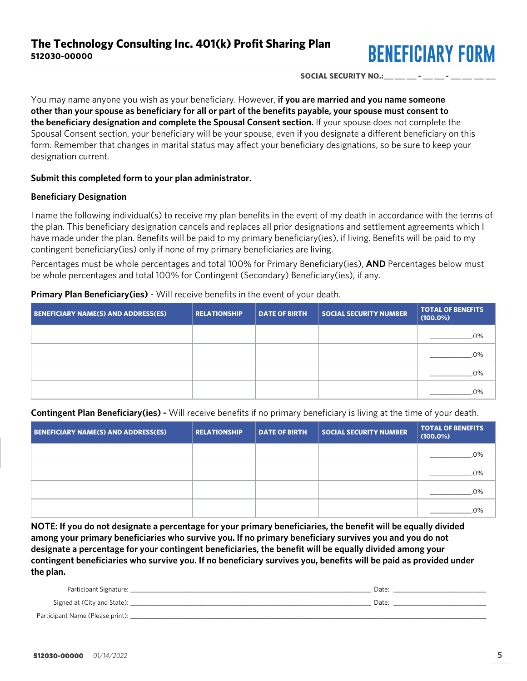

#### SOCIAL SECURITY NO.:

You may name anyone you wish as your beneficiary. However, if you are married and you name someone other than your spouse as beneficiary for all or part of the benefits payable, your spouse must consent to the beneficiary designation and complete the Spousal Consent section. If your spouse does not complete the Spousal Consent section, your beneficiary will be your spouse, even if you designate a different beneficiary on this form. Remember that changes in marital status may affect your beneficiary designations, so be sure to keep your designation current.

### Submit this completed form to your plan administrator.

# Beneficiary Designation

I name the following individual(s) to receive my plan benefits in the event of my death in accordance with the terms of the plan. This beneficiary designation cancels and replaces all prior designations and settlement agreements which I have made under the plan. Benefits will be paid to my primary beneficiary(ies), if living. Benefits will be paid to my contingent beneficiary(ies) only if none of my primary beneficiaries are living.

Percentages must be whole percentages and total 100% for Primary Beneficiary(ies), AND Percentages below must be whole percentages and total 100% for Contingent (Secondary) Beneficiary(ies), if any.

Primary Plan Beneficiary(ies) - Will receive benefits in the event of your death.

| <b>BENEFICIARY NAME(S) AND ADDRESS(ES)</b> | <b>RELATIONSHIP</b> | <b>DATE OF BIRTH</b> | <b>SOCIAL SECURITY NUMBER</b> | <b>TOTAL OF BENEFITS</b><br>$(100.0\%)$ |
|--------------------------------------------|---------------------|----------------------|-------------------------------|-----------------------------------------|
|                                            |                     |                      |                               | .0%                                     |
|                                            |                     |                      |                               | .0%                                     |
|                                            |                     |                      |                               | .0%                                     |
|                                            |                     |                      |                               | 0%                                      |

Contingent Plan Beneficiary(ies) - Will receive benefits if no primary beneficiary is living at the time of your death.

| <b>BENEFICIARY NAME(S) AND ADDRESS(ES)</b> | <b>RELATIONSHIP</b> | <b>DATE OF BIRTH</b> | <b>SOCIAL SECURITY NUMBER</b> | <b>TOTAL OF BENEFITS</b><br>$(100.0\%)$ |
|--------------------------------------------|---------------------|----------------------|-------------------------------|-----------------------------------------|
|                                            |                     |                      |                               | .0%                                     |
|                                            |                     |                      |                               | .0%                                     |
|                                            |                     |                      |                               | 0%                                      |
|                                            |                     |                      |                               | $0\%$                                   |

NOTE: If you do not designate a percentage for your primary beneficiaries, the benefit will be equally divided among your primary beneficiaries who survive you. If no primary beneficiary survives you and you do not designate a percentage for your contingent beneficiaries, the benefit will be equally divided among your contingent beneficiaries who survive you. If no beneficiary survives you, benefits will be paid as provided under the plan.

| Participant Signature:           | Date |
|----------------------------------|------|
| Signed at (City and State):      | Date |
| Participant Name (Please print): |      |